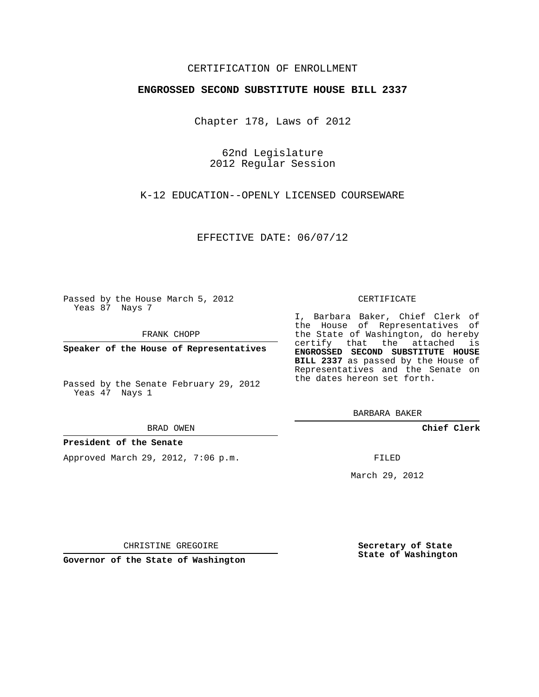## CERTIFICATION OF ENROLLMENT

## **ENGROSSED SECOND SUBSTITUTE HOUSE BILL 2337**

Chapter 178, Laws of 2012

62nd Legislature 2012 Regular Session

K-12 EDUCATION--OPENLY LICENSED COURSEWARE

EFFECTIVE DATE: 06/07/12

Passed by the House March 5, 2012 Yeas 87 Nays 7

FRANK CHOPP

**Speaker of the House of Representatives**

#### BRAD OWEN

## **President of the Senate**

Approved March 29, 2012, 7:06 p.m.

#### CERTIFICATE

I, Barbara Baker, Chief Clerk of the House of Representatives of the State of Washington, do hereby certify that the attached is **ENGROSSED SECOND SUBSTITUTE HOUSE BILL 2337** as passed by the House of Representatives and the Senate on the dates hereon set forth.

BARBARA BAKER

**Chief Clerk**

FILED

March 29, 2012

**Secretary of State State of Washington**

CHRISTINE GREGOIRE

**Governor of the State of Washington**

Passed by the Senate February 29, 2012 Yeas 47 Nays 1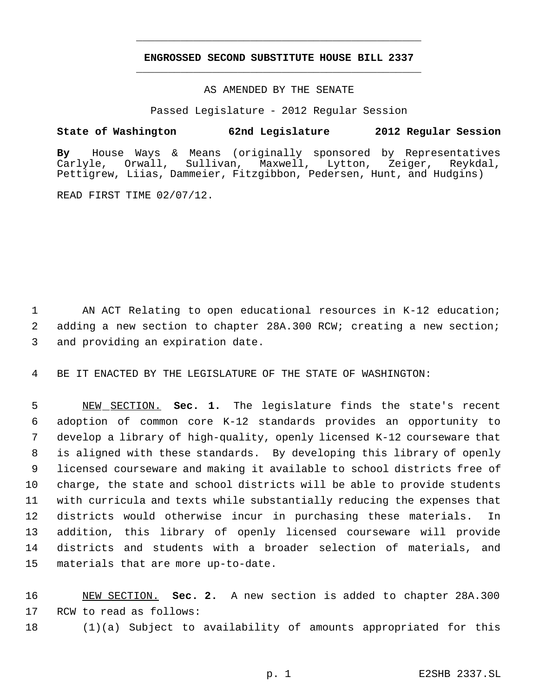# **ENGROSSED SECOND SUBSTITUTE HOUSE BILL 2337** \_\_\_\_\_\_\_\_\_\_\_\_\_\_\_\_\_\_\_\_\_\_\_\_\_\_\_\_\_\_\_\_\_\_\_\_\_\_\_\_\_\_\_\_\_

\_\_\_\_\_\_\_\_\_\_\_\_\_\_\_\_\_\_\_\_\_\_\_\_\_\_\_\_\_\_\_\_\_\_\_\_\_\_\_\_\_\_\_\_\_

## AS AMENDED BY THE SENATE

Passed Legislature - 2012 Regular Session

# **State of Washington 62nd Legislature 2012 Regular Session**

**By** House Ways & Means (originally sponsored by Representatives Carlyle, Orwall, Sullivan, Maxwell, Lytton, Zeiger, Reykdal, Pettigrew, Liias, Dammeier, Fitzgibbon, Pedersen, Hunt, and Hudgins)

READ FIRST TIME 02/07/12.

 AN ACT Relating to open educational resources in K-12 education; adding a new section to chapter 28A.300 RCW; creating a new section; and providing an expiration date.

BE IT ENACTED BY THE LEGISLATURE OF THE STATE OF WASHINGTON:

 NEW SECTION. **Sec. 1.** The legislature finds the state's recent adoption of common core K-12 standards provides an opportunity to develop a library of high-quality, openly licensed K-12 courseware that is aligned with these standards. By developing this library of openly licensed courseware and making it available to school districts free of charge, the state and school districts will be able to provide students with curricula and texts while substantially reducing the expenses that districts would otherwise incur in purchasing these materials. In addition, this library of openly licensed courseware will provide districts and students with a broader selection of materials, and materials that are more up-to-date.

 NEW SECTION. **Sec. 2.** A new section is added to chapter 28A.300 RCW to read as follows:

(1)(a) Subject to availability of amounts appropriated for this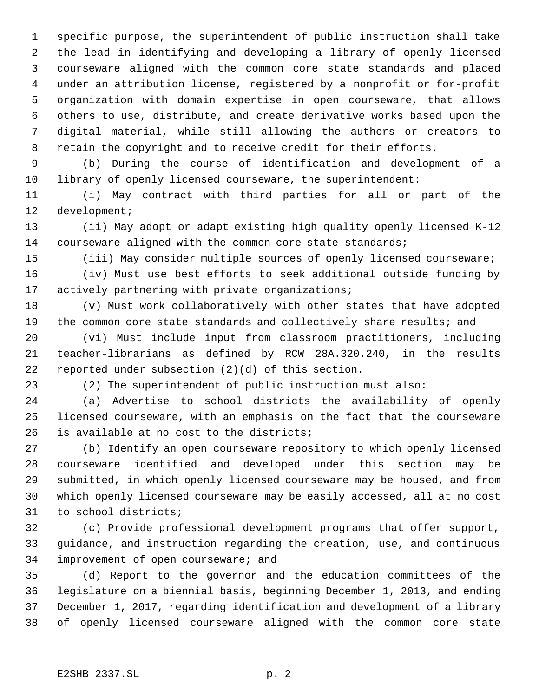specific purpose, the superintendent of public instruction shall take the lead in identifying and developing a library of openly licensed courseware aligned with the common core state standards and placed under an attribution license, registered by a nonprofit or for-profit organization with domain expertise in open courseware, that allows others to use, distribute, and create derivative works based upon the digital material, while still allowing the authors or creators to retain the copyright and to receive credit for their efforts.

 (b) During the course of identification and development of a library of openly licensed courseware, the superintendent:

 (i) May contract with third parties for all or part of the development;

 (ii) May adopt or adapt existing high quality openly licensed K-12 courseware aligned with the common core state standards;

(iii) May consider multiple sources of openly licensed courseware;

 (iv) Must use best efforts to seek additional outside funding by 17 actively partnering with private organizations;

 (v) Must work collaboratively with other states that have adopted 19 the common core state standards and collectively share results; and

 (vi) Must include input from classroom practitioners, including teacher-librarians as defined by RCW 28A.320.240, in the results reported under subsection (2)(d) of this section.

(2) The superintendent of public instruction must also:

 (a) Advertise to school districts the availability of openly licensed courseware, with an emphasis on the fact that the courseware is available at no cost to the districts;

 (b) Identify an open courseware repository to which openly licensed courseware identified and developed under this section may be submitted, in which openly licensed courseware may be housed, and from which openly licensed courseware may be easily accessed, all at no cost to school districts;

 (c) Provide professional development programs that offer support, guidance, and instruction regarding the creation, use, and continuous improvement of open courseware; and

 (d) Report to the governor and the education committees of the legislature on a biennial basis, beginning December 1, 2013, and ending December 1, 2017, regarding identification and development of a library of openly licensed courseware aligned with the common core state